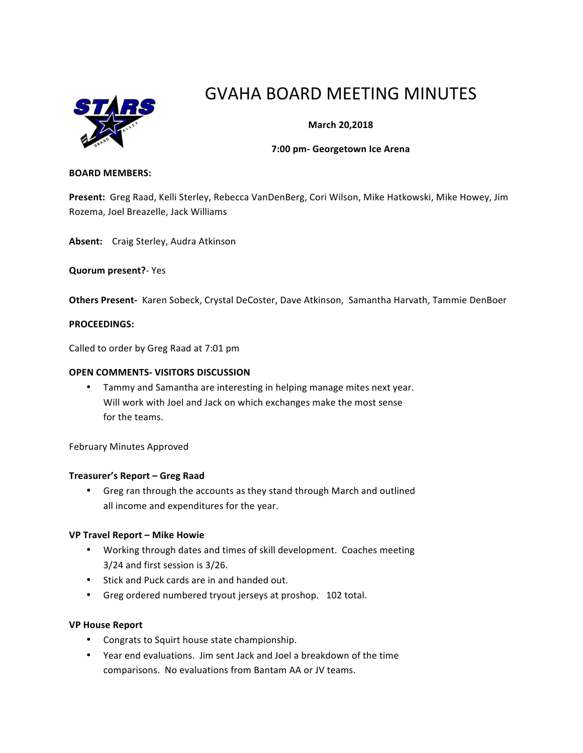

# GVAHA BOARD MEETING MINUTES

# **March 20,2018**

#### **7:00 pm- Georgetown Ice Arena**

#### **BOARD MEMBERS:**

Present: Greg Raad, Kelli Sterley, Rebecca VanDenBerg, Cori Wilson, Mike Hatkowski, Mike Howey, Jim Rozema, Joel Breazelle, Jack Williams

Absent: Craig Sterley, Audra Atkinson

**Quorum present?**- Yes

Others Present- Karen Sobeck, Crystal DeCoster, Dave Atkinson, Samantha Harvath, Tammie DenBoer

#### **PROCEEDINGS:**

Called to order by Greg Raad at 7:01 pm

#### **OPEN COMMENTS- VISITORS DISCUSSION**

• Tammy and Samantha are interesting in helping manage mites next year. Will work with Joel and Jack on which exchanges make the most sense for the teams.

February Minutes Approved

#### **Treasurer's Report – Greg Raad**

• Greg ran through the accounts as they stand through March and outlined all income and expenditures for the year.

#### **VP Travel Report – Mike Howie**

- Working through dates and times of skill development. Coaches meeting 3/24 and first session is 3/26.
- Stick and Puck cards are in and handed out.
- Greg ordered numbered tryout jerseys at proshop. 102 total.

## **VP House Report**

- Congrats to Squirt house state championship.
- Year end evaluations. Jim sent Jack and Joel a breakdown of the time comparisons. No evaluations from Bantam AA or JV teams.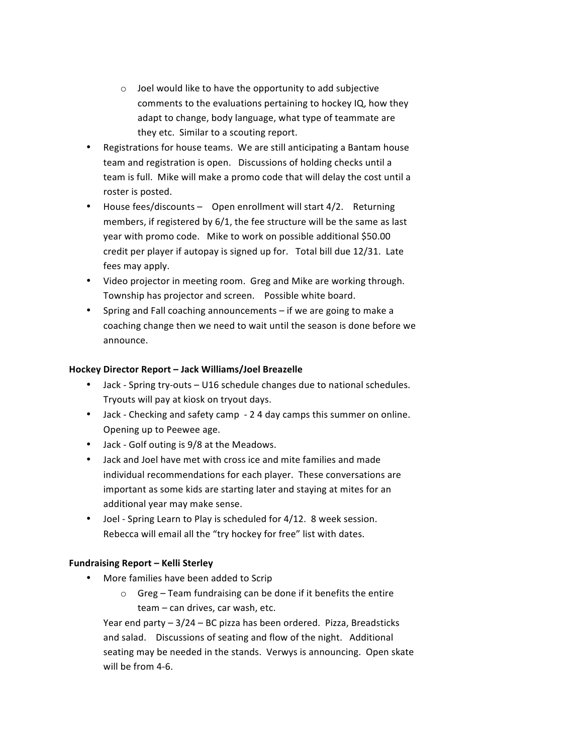- $\circ$  Joel would like to have the opportunity to add subjective comments to the evaluations pertaining to hockey IQ, how they adapt to change, body language, what type of teammate are they etc. Similar to a scouting report.
- Registrations for house teams. We are still anticipating a Bantam house team and registration is open. Discussions of holding checks until a team is full. Mike will make a promo code that will delay the cost until a roster is posted.
- House fees/discounts Open enrollment will start 4/2. Returning members, if registered by  $6/1$ , the fee structure will be the same as last year with promo code. Mike to work on possible additional \$50.00 credit per player if autopay is signed up for. Total bill due 12/31. Late fees may apply.
- Video projector in meeting room. Greg and Mike are working through. Township has projector and screen. Possible white board.
- Spring and Fall coaching announcements  $-$  if we are going to make a coaching change then we need to wait until the season is done before we announce.

## **Hockey Director Report – Jack Williams/Joel Breazelle**

- Jack Spring try-outs U16 schedule changes due to national schedules. Tryouts will pay at kiosk on tryout days.
- Jack Checking and safety camp 2 4 day camps this summer on online. Opening up to Peewee age.
- Jack Golf outing is 9/8 at the Meadows.
- Jack and Joel have met with cross ice and mite families and made individual recommendations for each player. These conversations are important as some kids are starting later and staying at mites for an additional year may make sense.
- Joel Spring Learn to Play is scheduled for 4/12. 8 week session. Rebecca will email all the "try hockey for free" list with dates.

# **Fundraising Report – Kelli Sterley**

- More families have been added to Scrip
	- $\circ$  Greg Team fundraising can be done if it benefits the entire team - can drives, car wash, etc.

Year end party  $-3/24 - BC$  pizza has been ordered. Pizza, Breadsticks and salad. Discussions of seating and flow of the night. Additional seating may be needed in the stands. Verwys is announcing. Open skate will be from 4-6.